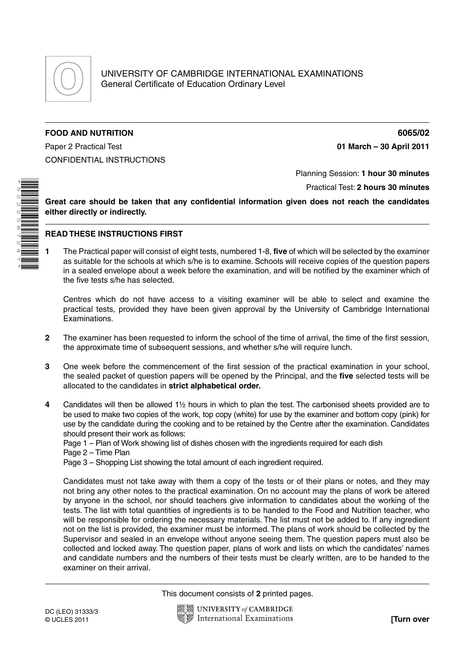

## **FOOD AND NUTRITION 6065/02**

Paper 2 Practical Test **01 March – 30 April 2011** CONFIDENTIAL INSTRUCTIONS

\*5222587247\*

## Planning Session: **1 hour 30 minutes**

Practical Test: **2 hours 30 minutes**

**Great care should be taken that any confidential information given does not reach the candidates either directly or indirectly.**

## **READ THESE INSTRUCTIONS FIRST**

**1** The Practical paper will consist of eight tests, numbered 1-8, **five** of which will be selected by the examiner as suitable for the schools at which s/he is to examine. Schools will receive copies of the question papers in a sealed envelope about a week before the examination, and will be notified by the examiner which of the five tests s/he has selected.

Centres which do not have access to a visiting examiner will be able to select and examine the practical tests, provided they have been given approval by the University of Cambridge International Examinations.

- **2** The examiner has been requested to inform the school of the time of arrival, the time of the first session, the approximate time of subsequent sessions, and whether s/he will require lunch.
- **3** One week before the commencement of the first session of the practical examination in your school, the sealed packet of question papers will be opened by the Principal, and the **five** selected tests will be allocated to the candidates in **strict alphabetical order.**
- **4** Candidates will then be allowed 1½ hours in which to plan the test. The carbonised sheets provided are to be used to make two copies of the work, top copy (white) for use by the examiner and bottom copy (pink) for use by the candidate during the cooking and to be retained by the Centre after the examination. Candidates should present their work as follows:

Page 1 – Plan of Work showing list of dishes chosen with the ingredients required for each dish Page 2 – Time Plan

Page 3 – Shopping List showing the total amount of each ingredient required.

Candidates must not take away with them a copy of the tests or of their plans or notes, and they may not bring any other notes to the practical examination. On no account may the plans of work be altered by anyone in the school, nor should teachers give information to candidates about the working of the tests. The list with total quantities of ingredients is to be handed to the Food and Nutrition teacher, who will be responsible for ordering the necessary materials. The list must not be added to. If any ingredient not on the list is provided, the examiner must be informed. The plans of work should be collected by the Supervisor and sealed in an envelope without anyone seeing them. The question papers must also be collected and locked away. The question paper, plans of work and lists on which the candidates' names and candidate numbers and the numbers of their tests must be clearly written, are to be handed to the examiner on their arrival.

This document consists of **2** printed pages.